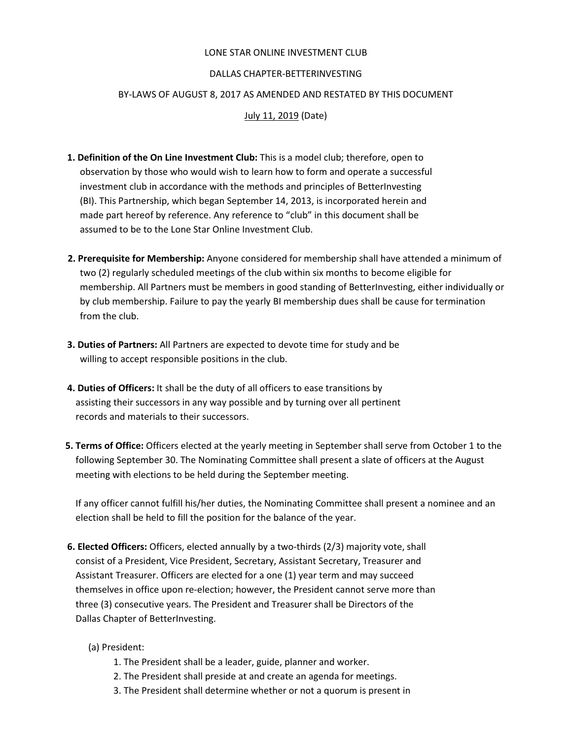### LONE STAR ONLINE INVESTMENT CLUB

### DALLAS CHAPTER-BETTERINVESTING

### BYLAWS OF AUGUST 8, 2017 AS AMENDED AND RESTATED BY THIS DOCUMENT

July 11, 2019 (Date)

- 1. Definition of the On Line Investment Club: This is a model club; therefore, open to observation by those who would wish to learn how to form and operate a successful investment club in accordance with the methods and principles of BetterInvesting (BI). This Partnership, which began September 14, 2013, is incorporated herein and made part hereof by reference. Any reference to "club" in this document shall be assumed to be to the Lone Star Online Investment Club.
- 2. Prerequisite for Membership: Anyone considered for membership shall have attended a minimum of two (2) regularly scheduled meetings of the club within six months to become eligible for membership. All Partners must be members in good standing of BetterInvesting, either individually or by club membership. Failure to pay the yearly BI membership dues shall be cause for termination from the club.
- 3. Duties of Partners: All Partners are expected to devote time for study and be willing to accept responsible positions in the club.
- 4. Duties of Officers: It shall be the duty of all officers to ease transitions by assisting their successors in any way possible and by turning over all pertinent records and materials to their successors.
- 5. Terms of Office: Officers elected at the yearly meeting in September shall serve from October 1 to the following September 30. The Nominating Committee shall present a slate of officers at the August meeting with elections to be held during the September meeting.

If any officer cannot fulfill his/her duties, the Nominating Committee shall present a nominee and an election shall be held to fill the position for the balance of the year.

- 6. Elected Officers: Officers, elected annually by a two-thirds (2/3) majority vote, shall consist of a President, Vice President, Secretary, Assistant Secretary, Treasurer and Assistant Treasurer. Officers are elected for a one (1) year term and may succeed themselves in office upon re-election; however, the President cannot serve more than three (3) consecutive years. The President and Treasurer shall be Directors of the Dallas Chapter of BetterInvesting.
	- (a) President:
		- 1. The President shall be a leader, guide, planner and worker.
		- 2. The President shall preside at and create an agenda for meetings.
		- 3. The President shall determine whether or not a quorum is present in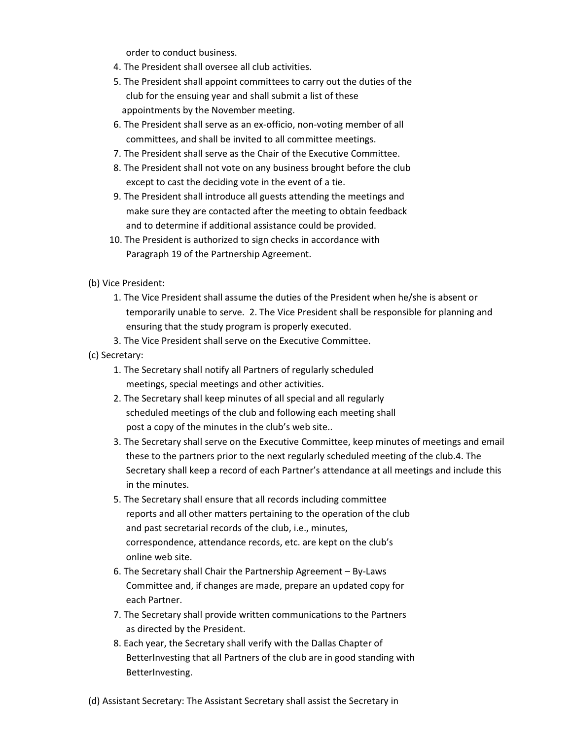order to conduct business.

- 4. The President shall oversee all club activities.
- 5. The President shall appoint committees to carry out the duties of the club for the ensuing year and shall submit a list of these appointments by the November meeting.
- 6. The President shall serve as an ex-officio, non-voting member of all committees, and shall be invited to all committee meetings.
- 7. The President shall serve as the Chair of the Executive Committee.
- 8. The President shall not vote on any business brought before the club except to cast the deciding vote in the event of a tie.
- 9. The President shall introduce all guests attending the meetings and make sure they are contacted after the meeting to obtain feedback and to determine if additional assistance could be provided.
- 10. The President is authorized to sign checks in accordance with Paragraph 19 of the Partnership Agreement.
- (b) Vice President:
	- 1. The Vice President shall assume the duties of the President when he/she is absent or temporarily unable to serve. 2. The Vice President shall be responsible for planning and ensuring that the study program is properly executed.
	- 3. The Vice President shall serve on the Executive Committee.
- (c) Secretary:
	- 1. The Secretary shall notify all Partners of regularly scheduled meetings, special meetings and other activities.
	- 2. The Secretary shall keep minutes of all special and all regularly scheduled meetings of the club and following each meeting shall post a copy of the minutes in the club's web site..
	- 3. The Secretary shall serve on the Executive Committee, keep minutes of meetings and email these to the partners prior to the next regularly scheduled meeting of the club.4. The Secretary shall keep a record of each Partner's attendance at all meetings and include this in the minutes.
	- 5. The Secretary shall ensure that all records including committee reports and all other matters pertaining to the operation of the club and past secretarial records of the club, i.e., minutes, correspondence, attendance records, etc. are kept on the club's online web site.
	- 6. The Secretary shall Chair the Partnership Agreement By-Laws Committee and, if changes are made, prepare an updated copy for each Partner.
	- 7. The Secretary shall provide written communications to the Partners as directed by the President.
	- 8. Each year, the Secretary shall verify with the Dallas Chapter of BetterInvesting that all Partners of the club are in good standing with BetterInvesting.

(d) Assistant Secretary: The Assistant Secretary shall assist the Secretary in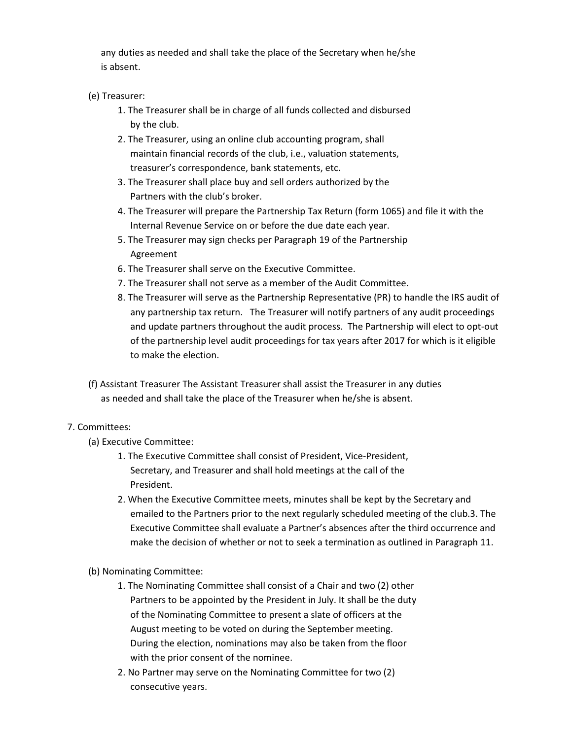any duties as needed and shall take the place of the Secretary when he/she is absent.

## (e) Treasurer:

- 1. The Treasurer shall be in charge of all funds collected and disbursed by the club.
- 2. The Treasurer, using an online club accounting program, shall maintain financial records of the club, i.e., valuation statements, treasurer's correspondence, bank statements, etc.
- 3. The Treasurer shall place buy and sell orders authorized by the Partners with the club's broker.
- 4. The Treasurer will prepare the Partnership Tax Return (form 1065) and file it with the Internal Revenue Service on or before the due date each year.
- 5. The Treasurer may sign checks per Paragraph 19 of the Partnership Agreement
- 6. The Treasurer shall serve on the Executive Committee.
- 7. The Treasurer shall not serve as a member of the Audit Committee.
- 8. The Treasurer will serve as the Partnership Representative (PR) to handle the IRS audit of any partnership tax return. The Treasurer will notify partners of any audit proceedings and update partners throughout the audit process. The Partnership will elect to opt-out of the partnership level audit proceedings for tax years after 2017 for which is it eligible to make the election.
- (f) Assistant Treasurer The Assistant Treasurer shall assist the Treasurer in any duties as needed and shall take the place of the Treasurer when he/she is absent.

# 7. Committees:

- (a) Executive Committee:
	- 1. The Executive Committee shall consist of President, Vice-President, Secretary, and Treasurer and shall hold meetings at the call of the President.
	- 2. When the Executive Committee meets, minutes shall be kept by the Secretary and emailed to the Partners prior to the next regularly scheduled meeting of the club.3. The Executive Committee shall evaluate a Partner's absences after the third occurrence and make the decision of whether or not to seek a termination as outlined in Paragraph 11.
- (b) Nominating Committee:
	- 1. The Nominating Committee shall consist of a Chair and two (2) other Partners to be appointed by the President in July. It shall be the duty of the Nominating Committee to present a slate of officers at the August meeting to be voted on during the September meeting. During the election, nominations may also be taken from the floor with the prior consent of the nominee.
	- 2. No Partner may serve on the Nominating Committee for two (2) consecutive years.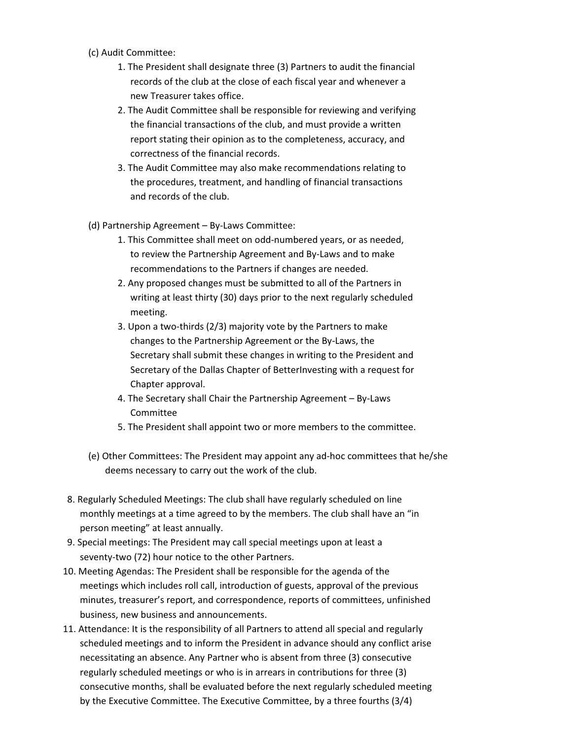- (c) Audit Committee:
	- 1. The President shall designate three (3) Partners to audit the financial records of the club at the close of each fiscal year and whenever a new Treasurer takes office.
	- 2. The Audit Committee shall be responsible for reviewing and verifying the financial transactions of the club, and must provide a written report stating their opinion as to the completeness, accuracy, and correctness of the financial records.
	- 3. The Audit Committee may also make recommendations relating to the procedures, treatment, and handling of financial transactions and records of the club.
- (d) Partnership Agreement By-Laws Committee:
	- 1. This Committee shall meet on odd-numbered years, or as needed, to review the Partnership Agreement and By-Laws and to make recommendations to the Partners if changes are needed.
	- 2. Any proposed changes must be submitted to all of the Partners in writing at least thirty (30) days prior to the next regularly scheduled meeting.
	- 3. Upon a two-thirds ( $2/3$ ) majority vote by the Partners to make changes to the Partnership Agreement or the By-Laws, the Secretary shall submit these changes in writing to the President and Secretary of the Dallas Chapter of BetterInvesting with a request for Chapter approval.
	- 4. The Secretary shall Chair the Partnership Agreement By-Laws Committee
	- 5. The President shall appoint two or more members to the committee.
- (e) Other Committees: The President may appoint any ad-hoc committees that he/she deems necessary to carry out the work of the club.
- 8. Regularly Scheduled Meetings: The club shall have regularly scheduled on line monthly meetings at a time agreed to by the members. The club shall have an "in person meeting" at least annually.
- 9. Special meetings: The President may call special meetings upon at least a seventy-two (72) hour notice to the other Partners.
- 10. Meeting Agendas: The President shall be responsible for the agenda of the meetings which includes roll call, introduction of guests, approval of the previous minutes, treasurer's report, and correspondence, reports of committees, unfinished business, new business and announcements.
- 11. Attendance: It is the responsibility of all Partners to attend all special and regularly scheduled meetings and to inform the President in advance should any conflict arise necessitating an absence. Any Partner who is absent from three (3) consecutive regularly scheduled meetings or who is in arrears in contributions for three (3) consecutive months, shall be evaluated before the next regularly scheduled meeting by the Executive Committee. The Executive Committee, by a three fourths (3/4)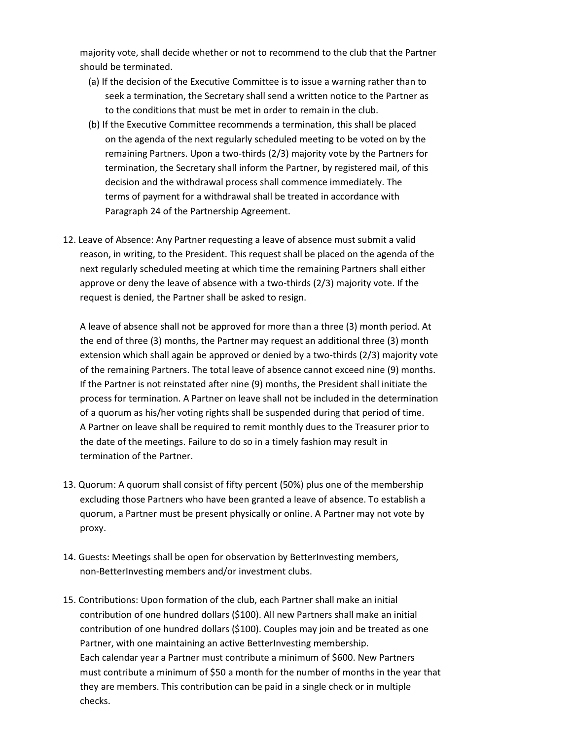majority vote, shall decide whether or not to recommend to the club that the Partner should be terminated.

- (a) If the decision of the Executive Committee is to issue a warning rather than to seek a termination, the Secretary shall send a written notice to the Partner as to the conditions that must be met in order to remain in the club.
- (b) If the Executive Committee recommends a termination, this shall be placed on the agenda of the next regularly scheduled meeting to be voted on by the remaining Partners. Upon a two-thirds (2/3) majority vote by the Partners for termination, the Secretary shall inform the Partner, by registered mail, of this decision and the withdrawal process shall commence immediately. The terms of payment for a withdrawal shall be treated in accordance with Paragraph 24 of the Partnership Agreement.
- 12. Leave of Absence: Any Partner requesting a leave of absence must submit a valid reason, in writing, to the President. This request shall be placed on the agenda of the next regularly scheduled meeting at which time the remaining Partners shall either approve or deny the leave of absence with a two-thirds (2/3) majority vote. If the request is denied, the Partner shall be asked to resign.

A leave of absence shall not be approved for more than a three (3) month period. At the end of three (3) months, the Partner may request an additional three (3) month extension which shall again be approved or denied by a two-thirds  $(2/3)$  majority vote of the remaining Partners. The total leave of absence cannot exceed nine (9) months. If the Partner is not reinstated after nine (9) months, the President shall initiate the process for termination. A Partner on leave shall not be included in the determination of a quorum as his/her voting rights shall be suspended during that period of time. A Partner on leave shall be required to remit monthly dues to the Treasurer prior to the date of the meetings. Failure to do so in a timely fashion may result in termination of the Partner.

- 13. Quorum: A quorum shall consist of fifty percent (50%) plus one of the membership excluding those Partners who have been granted a leave of absence. To establish a quorum, a Partner must be present physically or online. A Partner may not vote by proxy.
- 14. Guests: Meetings shall be open for observation by BetterInvesting members, non-BetterInvesting members and/or investment clubs.
- 15. Contributions: Upon formation of the club, each Partner shall make an initial contribution of one hundred dollars (\$100). All new Partners shall make an initial contribution of one hundred dollars (\$100). Couples may join and be treated as one Partner, with one maintaining an active BetterInvesting membership. Each calendar year a Partner must contribute a minimum of \$600. New Partners must contribute a minimum of \$50 a month for the number of months in the year that they are members. This contribution can be paid in a single check or in multiple checks.